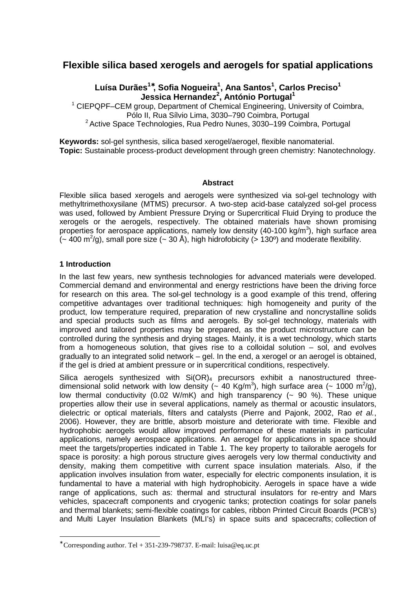# **Flexible silica based xerogels and aerogels for spatial applications**

## **Luísa Durães<sup>1</sup>**<sup>∗</sup>**, Sofia Nogueira<sup>1</sup> , Ana Santos<sup>1</sup> , Carlos Preciso<sup>1</sup> Jessica Hernandez<sup>2</sup> , António Portugal<sup>1</sup>**

<sup>1</sup> CIEPQPF–CEM group, Department of Chemical Engineering, University of Coimbra, Pólo II, Rua Sílvio Lima, 3030–790 Coimbra, Portugal <sup>2</sup> Active Space Technologies, Rua Pedro Nunes, 3030–199 Coimbra, Portugal

**Keywords:** sol-gel synthesis, silica based xerogel/aerogel, flexible nanomaterial. **Topic:** Sustainable process-product development through green chemistry: Nanotechnology.

#### **Abstract**

Flexible silica based xerogels and aerogels were synthesized via sol-gel technology with methyltrimethoxysilane (MTMS) precursor. A two-step acid-base catalyzed sol-gel process was used, followed by Ambient Pressure Drying or Supercritical Fluid Drying to produce the xerogels or the aerogels, respectively. The obtained materials have shown promising properties for aerospace applications, namely low density (40-100 kg/m<sup>3</sup>), high surface area  $($  - 400 m<sup>2</sup>/g), small pore size ( $\sim$  30 Å), high hidrofobicity ( $>$  130°) and moderate flexibility.

## **1 Introduction**

 $\overline{a}$ 

In the last few years, new synthesis technologies for advanced materials were developed. Commercial demand and environmental and energy restrictions have been the driving force for research on this area. The sol-gel technology is a good example of this trend, offering competitive advantages over traditional techniques: high homogeneity and purity of the product, low temperature required, preparation of new crystalline and noncrystalline solids and special products such as films and aerogels. By sol-gel technology, materials with improved and tailored properties may be prepared, as the product microstructure can be controlled during the synthesis and drying stages. Mainly, it is a wet technology, which starts from a homogeneous solution, that gives rise to a colloidal solution – sol, and evolves gradually to an integrated solid network – gel. In the end, a xerogel or an aerogel is obtained, if the gel is dried at ambient pressure or in supercritical conditions, respectively.

Silica aerogels synthesized with  $Si(OR)_4$  precursors exhibit a nanostructured threedimensional solid network with low density ( $\sim 40$  Kg/m<sup>3</sup>), high surface area ( $\sim 1000$  m<sup>2</sup>/g), low thermal conductivity (0.02 W/mK) and high transparency  $(-90\%)$ . These unique properties allow their use in several applications, namely as thermal or acoustic insulators, dielectric or optical materials, filters and catalysts (Pierre and Pajonk, 2002, Rao et al., 2006). However, they are brittle, absorb moisture and deteriorate with time. Flexible and hydrophobic aerogels would allow improved performance of these materials in particular applications, namely aerospace applications. An aerogel for applications in space should meet the targets/properties indicated in Table 1. The key property to tailorable aerogels for space is porosity: a high porous structure gives aerogels very low thermal conductivity and density, making them competitive with current space insulation materials. Also, if the application involves insulation from water, especially for electric components insulation, it is fundamental to have a material with high hydrophobicity. Aerogels in space have a wide range of applications, such as: thermal and structural insulators for re-entry and Mars vehicles, spacecraft components and cryogenic tanks; protection coatings for solar panels and thermal blankets; semi-flexible coatings for cables, ribbon Printed Circuit Boards (PCB's) and Multi Layer Insulation Blankets (MLI's) in space suits and spacecrafts; collection of

<sup>∗</sup> Corresponding author. Tel + 351-239-798737. E-mail: luisa@eq.uc.pt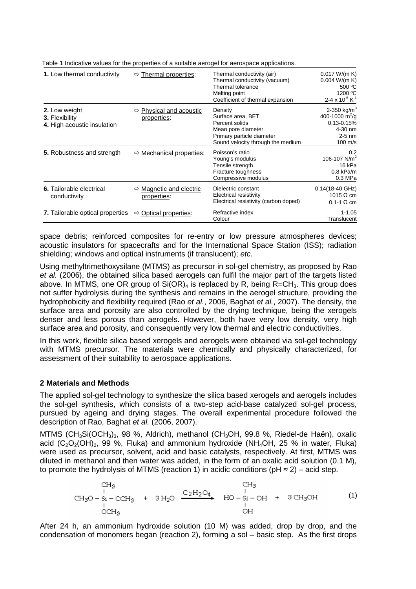| 1. Low thermal conductivity                                    | $\Rightarrow$ Thermal properties:                  | Thermal conductivity (air)<br>Thermal conductivity (vacuum)<br>Thermal tolerance<br>Melting point<br>Coefficient of thermal expansion  | 0.017 W/(m K)<br>0.004 W/(m K)<br>500 °C<br>1200 °C<br>2-4 x 10 $^{6}$ K <sup>-1</sup>                                  |
|----------------------------------------------------------------|----------------------------------------------------|----------------------------------------------------------------------------------------------------------------------------------------|-------------------------------------------------------------------------------------------------------------------------|
| 2. Low weight<br>3. Flexibility<br>4. High acoustic insulation | Physical and acoustic<br>⇨<br>properties:          | Density<br>Surface area, BET<br>Percent solids<br>Mean pore diameter<br>Primary particle diameter<br>Sound velocity through the medium | 2-350 kg/m <sup>3</sup><br>400-1000 $\text{m}^2/\text{g}$<br>$0.13 - 0.15%$<br>4-30 nm<br>$2-5$ nm<br>$100 \text{ m/s}$ |
| 5. Robustness and strength                                     | $\Rightarrow$ Mechanical properties:               | Poisson's ratio<br>Young's modulus<br>Tensile strength<br>Fracture toughness<br>Compressive modulus                                    | 0.2<br>106-107 $N/m2$<br>16 kPa<br>$0.8$ kPa/m<br>0.3 MPa                                                               |
| <b>6.</b> Tailorable electrical<br>conductivity                | $\Rightarrow$ Magnetic and electric<br>properties: | Dielectric constant<br>Electrical resistivity<br>Electrical resistivity (carbon doped)                                                 | $0.14(18-40 \text{ GHz})$<br>1015 $\Omega$ cm<br>$0.1 - 1$ $\Omega$ cm                                                  |
| <b>7.</b> Tailorable optical properties                        | Optical properties:<br>⇨                           | Refractive index<br>Colour                                                                                                             | $1 - 1.05$<br>Translucent                                                                                               |

Table 1 Indicative values for the properties of a suitable aerogel for aerospace applications.

space debris; reinforced composites for re-entry or low pressure atmospheres devices; acoustic insulators for spacecrafts and for the International Space Station (ISS); radiation shielding; windows and optical instruments (if translucent); etc.

Using methyltrimethoxysilane (MTMS) as precursor in sol-gel chemistry, as proposed by Rao et al. (2006), the obtained silica based aerogels can fulfil the major part of the targets listed above. In MTMS, one OR group of  $Si(OR)_4$  is replaced by R, being R=CH<sub>3</sub>. This group does not suffer hydrolysis during the synthesis and remains in the aerogel structure, providing the hydrophobicity and flexibility required (Rao et al., 2006, Baghat et al., 2007). The density, the surface area and porosity are also controlled by the drying technique, being the xerogels denser and less porous than aerogels. However, both have very low density, very high surface area and porosity, and consequently very low thermal and electric conductivities.

In this work, flexible silica based xerogels and aerogels were obtained via sol-gel technology with MTMS precursor. The materials were chemically and physically characterized, for assessment of their suitability to aerospace applications.

## **2 Materials and Methods**

The applied sol-gel technology to synthesize the silica based xerogels and aerogels includes the sol-gel synthesis, which consists of a two-step acid-base catalyzed sol-gel process, pursued by ageing and drying stages. The overall experimental procedure followed the description of Rao, Baghat et al. (2006, 2007).

MTMS (CH<sub>3</sub>Si(OCH<sub>3</sub>)<sub>3</sub>, 98 %, Aldrich), methanol (CH<sub>3</sub>OH, 99.8 %, Riedel-de Haën), oxalic acid  $(C_2O_2(OH)_2$ , 99 %, Fluka) and ammonium hydroxide (NH<sub>4</sub>OH, 25 % in water, Fluka) were used as precursor, solvent, acid and basic catalysts, respectively. At first, MTMS was diluted in methanol and then water was added, in the form of an oxalic acid solution (0.1 M), to promote the hydrolysis of MTMS (reaction 1) in acidic conditions ( $pH \approx 2$ ) – acid step.

(1)

After 24 h, an ammonium hydroxide solution (10 M) was added, drop by drop, and the condensation of monomers began (reaction 2), forming a sol – basic step. As the first drops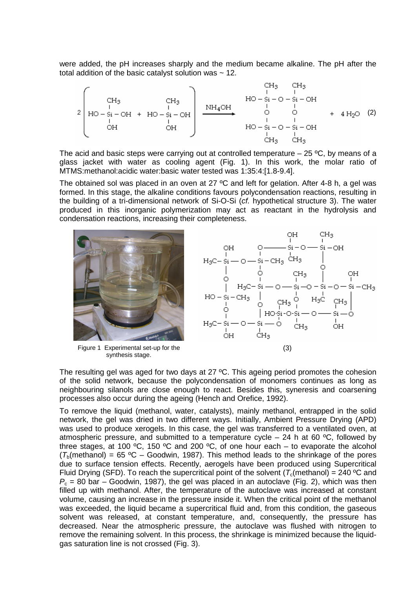were added, the pH increases sharply and the medium became alkaline. The pH after the total addition of the basic catalyst solution was  $\sim$  12.

(2)

The acid and basic steps were carrying out at controlled temperature  $-$  25 °C, by means of a glass jacket with water as cooling agent (Fig. 1). In this work, the molar ratio of MTMS:methanol:acidic water:basic water tested was 1:35:4:[1.8-9.4].

The obtained sol was placed in an oven at 27  $\degree$ C and left for gelation. After 4-8 h, a gel was formed. In this stage, the alkaline conditions favours polycondensation reactions, resulting in the building of a tri-dimensional network of Si-O-Si (cf. hypothetical structure 3). The water produced in this inorganic polymerization may act as reactant in the hydrolysis and condensation reactions, increasing their completeness.



The resulting gel was aged for two days at 27 °C. This ageing period promotes the cohesion of the solid network, because the polycondensation of monomers continues as long as neighbouring silanols are close enough to react. Besides this, syneresis and coarsening processes also occur during the ageing (Hench and Orefice, 1992).

To remove the liquid (methanol, water, catalysts), mainly methanol, entrapped in the solid network, the gel was dried in two different ways. Initially, Ambient Pressure Drying (APD) was used to produce xerogels. In this case, the gel was transferred to a ventilated oven, at atmospheric pressure, and submitted to a temperature cycle  $-$  24 h at 60 °C, followed by three stages, at 100 °C, 150 °C and 200 °C, of one hour each – to evaporate the alcohol  $(T<sub>b</sub>(method)) = 65 °C - Goodwin, 1987)$ . This method leads to the shrinkage of the pores due to surface tension effects. Recently, aerogels have been produced using Supercritical Fluid Drving (SFD). To reach the supercritical point of the solvent  $(T_c(\text{methanol}) = 240 \degree C$  and  $P_c = 80$  bar – Goodwin, 1987), the gel was placed in an autoclave (Fig. 2), which was then filled up with methanol. After, the temperature of the autoclave was increased at constant volume, causing an increase in the pressure inside it. When the critical point of the methanol was exceeded, the liquid became a supercritical fluid and, from this condition, the gaseous solvent was released, at constant temperature, and, consequently, the pressure has decreased. Near the atmospheric pressure, the autoclave was flushed with nitrogen to remove the remaining solvent. In this process, the shrinkage is minimized because the liquidgas saturation line is not crossed (Fig. 3).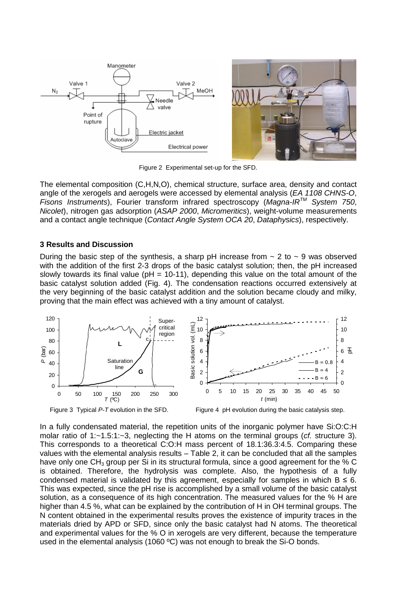



Figure 2 Experimental set-up for the SFD.

The elemental composition (C,H,N,O), chemical structure, surface area, density and contact angle of the xerogels and aerogels were accessed by elemental analysis (EA 1108 CHNS-O, Fisons Instruments), Fourier transform infrared spectroscopy (Magna-IR<sup>TM</sup> System 750, Nicolet), nitrogen gas adsorption (ASAP 2000, Micromeritics), weight-volume measurements and a contact angle technique (Contact Angle System OCA 20, Dataphysics), respectively.

#### **3 Results and Discussion**

During the basic step of the synthesis, a sharp pH increase from  $\sim$  2 to  $\sim$  9 was observed with the addition of the first 2-3 drops of the basic catalyst solution; then, the pH increased slowly towards its final value ( $pH = 10-11$ ), depending this value on the total amount of the basic catalyst solution added (Fig. 4). The condensation reactions occurred extensively at the very beginning of the basic catalyst addition and the solution became cloudy and milky, proving that the main effect was achieved with a tiny amount of catalyst.



Figure 3 Typical  $P$ -T evolution in the SFD. Figure 4 pH evolution during the basic catalysis step.

In a fully condensated material, the repetition units of the inorganic polymer have Si:O:C:H molar ratio of  $1:-1.5:1:-3$ , neglecting the H atoms on the terminal groups (*cf.* structure 3). This corresponds to a theoretical C:O:H mass percent of 18.1:36.3:4.5. Comparing these values with the elemental analysis results – Table 2, it can be concluded that all the samples have only one  $CH_3$  group per Si in its structural formula, since a good agreement for the % C is obtained. Therefore, the hydrolysis was complete. Also, the hypothesis of a fully condensed material is validated by this agreement, especially for samples in which  $B \le 6$ . This was expected, since the pH rise is accomplished by a small volume of the basic catalyst solution, as a consequence of its high concentration. The measured values for the % H are higher than 4.5 %, what can be explained by the contribution of H in OH terminal groups. The N content obtained in the experimental results proves the existence of impurity traces in the materials dried by APD or SFD, since only the basic catalyst had N atoms. The theoretical and experimental values for the % O in xerogels are very different, because the temperature used in the elemental analysis (1060 ºC) was not enough to break the Si-O bonds.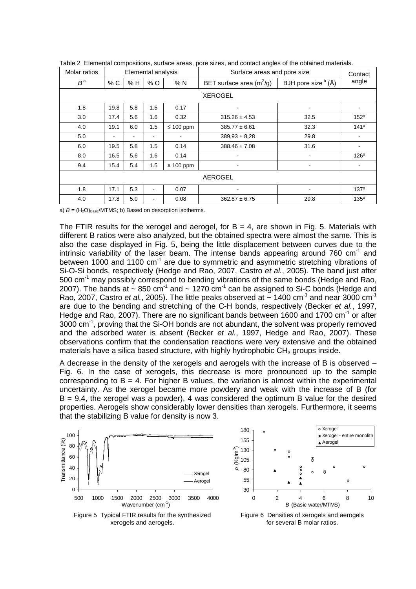| Molar ratios   | Elemental analysis |     |     |                | Surface areas and pore size |                                                 | Contact          |  |
|----------------|--------------------|-----|-----|----------------|-----------------------------|-------------------------------------------------|------------------|--|
| $B^a$          | % C                | % H | %O  | %N             | BET surface area $(m^2/g)$  | BJH pore size $\overline{b}$ ( $\overline{A}$ ) | angle            |  |
| <b>XEROGEL</b> |                    |     |     |                |                             |                                                 |                  |  |
| 1.8            | 19.8               | 5.8 | 1.5 | 0.17           | ÷                           | $\blacksquare$                                  |                  |  |
| 3.0            | 17.4               | 5.6 | 1.6 | 0.32           | $315.26 \pm 4.53$           | 32.5                                            | 152 <sup>°</sup> |  |
| 4.0            | 19.1               | 6.0 | 1.5 | $\leq 100$ ppm | $385.77 \pm 6.61$           | 32.3                                            | 141°             |  |
| 5.0            |                    |     |     |                | $389,93 \pm 8,28$           | 29.8                                            |                  |  |
| 6.0            | 19.5               | 5.8 | 1.5 | 0.14           | $388.46 \pm 7.08$           | 31.6                                            |                  |  |
| 8.0            | 16.5               | 5.6 | 1.6 | 0.14           | ۰                           | $\blacksquare$                                  | $126^\circ$      |  |
| 9.4            | 15.4               | 5.4 | 1.5 | $\leq 100$ ppm | ٠                           | $\blacksquare$                                  |                  |  |
| <b>AEROGEL</b> |                    |     |     |                |                             |                                                 |                  |  |
| 1.8            | 17.1               | 5.3 | ۰   | 0.07           | ٠                           | $\blacksquare$                                  | 137 <sup>°</sup> |  |
| 4.0            | 17.8               | 5.0 | ۰   | 0.08           | $362.87 \pm 6.75$           | 29.8                                            | $135^\circ$      |  |

Table 2 Elemental compositions, surface areas, pore sizes, and contact angles of the obtained materials.

a)  $B = (H<sub>2</sub>O)<sub>Basic</sub>/MTMS$ ; b) Based on desorption isotherms.

The FTIR results for the xerogel and aerogel, for  $B = 4$ , are shown in Fig. 5. Materials with different B ratios were also analyzed, but the obtained spectra were almost the same. This is also the case displayed in Fig. 5, being the little displacement between curves due to the intrinsic variability of the laser beam. The intense bands appearing around  $760 \text{ cm}^{-1}$  and between 1000 and 1100 cm<sup>-1</sup> are due to symmetric and asymmetric stretching vibrations of Si-O-Si bonds, respectively (Hedge and Rao, 2007, Castro et al., 2005). The band just after 500 cm<sup>-1</sup> may possibly correspond to bending vibrations of the same bonds (Hedge and Rao, 2007). The bands at  $\sim 850$  cm<sup>-1</sup> and  $\sim 1270$  cm<sup>-1</sup> can be assigned to Si-C bonds (Hedge and Rao, 2007, Castro et al., 2005). The little peaks observed at  $\sim$  1400 cm<sup>-1</sup> and near 3000 cm<sup>-1</sup> are due to the bending and stretching of the C-H bonds, respectively (Becker et al., 1997, Hedge and Rao, 2007). There are no significant bands between 1600 and 1700 cm<sup>-1</sup> or after 3000 cm<sup>-1</sup>, proving that the Si-OH bonds are not abundant, the solvent was properly removed and the adsorbed water is absent (Becker et al., 1997, Hedge and Rao, 2007). These observations confirm that the condensation reactions were very extensive and the obtained materials have a silica based structure, with highly hydrophobic  $CH<sub>3</sub>$  groups inside.

A decrease in the density of the xerogels and aerogels with the increase of B is observed – Fig. 6. In the case of xerogels, this decrease is more pronounced up to the sample corresponding to  $B = 4$ . For higher B values, the variation is almost within the experimental uncertainty. As the xerogel became more powdery and weak with the increase of B (for B = 9.4, the xerogel was a powder), 4 was considered the optimum B value for the desired properties. Aerogels show considerably lower densities than xerogels. Furthermore, it seems that the stabilizing B value for density is now 3.



Xerogel 180 Xerogel - entire monolith 155 ▲ Aerogel )130 ρ (Kg/m<sup>3</sup><br>Φ  $\Omega$ 105  $\circ$ 80 55  $\Omega$  $\blacktriangle$ 30 0 2 4 6 8 10 B (Basic water/MTMS)

Figure 5 Typical FTIR results for the synthesized xerogels and aerogels.